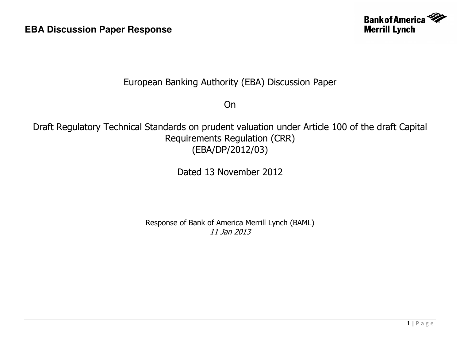

## European Banking Authority (EBA) Discussion Paper

On

Draft Regulatory Technical Standards on prudent valuation under Article 100 of the draft Capital Requirements Regulation (CRR) (EBA/DP/2012/03)

Dated 13 November 2012

Response of Bank of America Merrill Lynch (BAML) 11 Jan 2013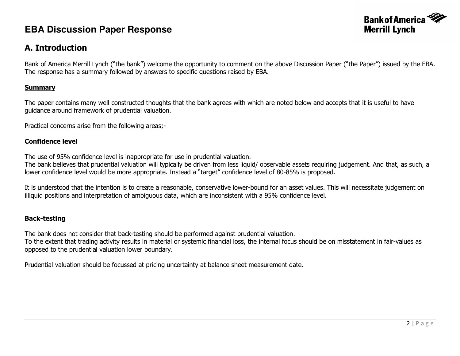

### A. Introduction

Bank of America Merrill Lynch ("the bank") welcome the opportunity to comment on the above Discussion Paper ("the Paper") issued by the EBA. The response has a summary followed by answers to specific questions raised by EBA.

#### **Summary**

The paper contains many well constructed thoughts that the bank agrees with which are noted below and accepts that it is useful to have guidance around framework of prudential valuation.

Practical concerns arise from the following areas;-

#### Confidence level

The use of 95% confidence level is inappropriate for use in prudential valuation.

 The bank believes that prudential valuation will typically be driven from less liquid/ observable assets requiring judgement. And that, as such, a lower confidence level would be more appropriate. Instead a "target" confidence level of 80-85% is proposed.

It is understood that the intention is to create a reasonable, conservative lower-bound for an asset values. This will necessitate judgement on illiquid positions and interpretation of ambiguous data, which are inconsistent with a 95% confidence level.

#### Back-testing

The bank does not consider that back-testing should be performed against prudential valuation.

 To the extent that trading activity results in material or systemic financial loss, the internal focus should be on misstatement in fair-values as opposed to the prudential valuation lower boundary.

Prudential valuation should be focussed at pricing uncertainty at balance sheet measurement date.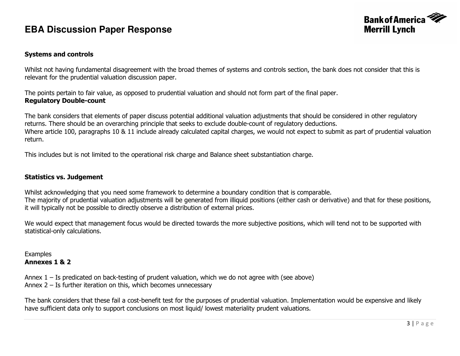

#### Systems and controls

Whilst not having fundamental disagreement with the broad themes of systems and controls section, the bank does not consider that this is relevant for the prudential valuation discussion paper.

The points pertain to fair value, as opposed to prudential valuation and should not form part of the final paper. Regulatory Double-count

The bank considers that elements of paper discuss potential additional valuation adjustments that should be considered in other regulatory returns. There should be an overarching principle that seeks to exclude double-count of regulatory deductions. Where article 100, paragraphs 10 & 11 include already calculated capital charges, we would not expect to submit as part of prudential valuation return.

This includes but is not limited to the operational risk charge and Balance sheet substantiation charge.

#### Statistics vs. Judgement

Whilst acknowledging that you need some framework to determine a boundary condition that is comparable. The majority of prudential valuation adjustments will be generated from illiquid positions (either cash or derivative) and that for these positions, it will typically not be possible to directly observe a distribution of external prices.

We would expect that management focus would be directed towards the more subjective positions, which will tend not to be supported with statistical-only calculations.

#### **Examples** Annexes 1 & 2

Annex  $1 -$  Is predicated on back-testing of prudent valuation, which we do not agree with (see above) Annex 2 – Is further iteration on this, which becomes unnecessary

The bank considers that these fail a cost-benefit test for the purposes of prudential valuation. Implementation would be expensive and likely have sufficient data only to support conclusions on most liquid/ lowest materiality prudent valuations.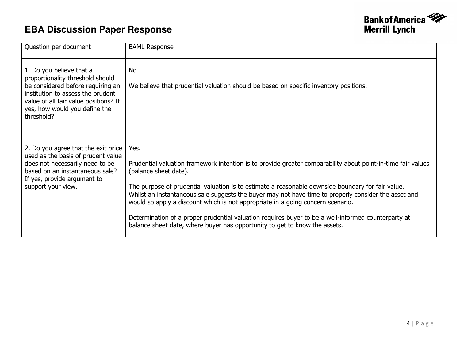

| Question per document                                                                                                                                                                                                          | <b>BAML Response</b>                                                                                                                                                                                                                                                                                                                                                                                                                                                                                                                                                                                                               |
|--------------------------------------------------------------------------------------------------------------------------------------------------------------------------------------------------------------------------------|------------------------------------------------------------------------------------------------------------------------------------------------------------------------------------------------------------------------------------------------------------------------------------------------------------------------------------------------------------------------------------------------------------------------------------------------------------------------------------------------------------------------------------------------------------------------------------------------------------------------------------|
| 1. Do you believe that a<br>proportionality threshold should<br>be considered before requiring an<br>institution to assess the prudent<br>value of all fair value positions? If<br>yes, how would you define the<br>threshold? | <b>No</b><br>We believe that prudential valuation should be based on specific inventory positions.                                                                                                                                                                                                                                                                                                                                                                                                                                                                                                                                 |
|                                                                                                                                                                                                                                |                                                                                                                                                                                                                                                                                                                                                                                                                                                                                                                                                                                                                                    |
| 2. Do you agree that the exit price<br>used as the basis of prudent value<br>does not necessarily need to be<br>based on an instantaneous sale?<br>If yes, provide argument to<br>support your view.                           | Yes.<br>Prudential valuation framework intention is to provide greater comparability about point-in-time fair values<br>(balance sheet date).<br>The purpose of prudential valuation is to estimate a reasonable downside boundary for fair value.<br>Whilst an instantaneous sale suggests the buyer may not have time to properly consider the asset and<br>would so apply a discount which is not appropriate in a going concern scenario.<br>Determination of a proper prudential valuation requires buyer to be a well-informed counterparty at<br>balance sheet date, where buyer has opportunity to get to know the assets. |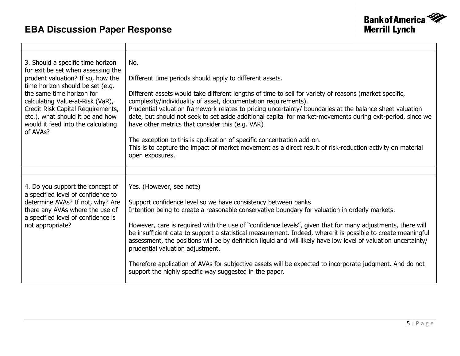$\blacksquare$ 



| 3. Should a specific time horizon<br>for exit be set when assessing the<br>prudent valuation? If so, how the<br>time horizon should be set (e.g.<br>the same time horizon for<br>calculating Value-at-Risk (VaR),<br>Credit Risk Capital Requirements,<br>etc.), what should it be and how<br>would it feed into the calculating<br>of AVAs? | No.<br>Different time periods should apply to different assets.<br>Different assets would take different lengths of time to sell for variety of reasons (market specific,<br>complexity/individuality of asset, documentation requirements).<br>Prudential valuation framework relates to pricing uncertainty/ boundaries at the balance sheet valuation<br>date, but should not seek to set aside additional capital for market-movements during exit-period, since we<br>have other metrics that consider this (e.g. VAR)<br>The exception to this is application of specific concentration add-on.<br>This is to capture the impact of market movement as a direct result of risk-reduction activity on material<br>open exposures.                  |
|----------------------------------------------------------------------------------------------------------------------------------------------------------------------------------------------------------------------------------------------------------------------------------------------------------------------------------------------|---------------------------------------------------------------------------------------------------------------------------------------------------------------------------------------------------------------------------------------------------------------------------------------------------------------------------------------------------------------------------------------------------------------------------------------------------------------------------------------------------------------------------------------------------------------------------------------------------------------------------------------------------------------------------------------------------------------------------------------------------------|
|                                                                                                                                                                                                                                                                                                                                              |                                                                                                                                                                                                                                                                                                                                                                                                                                                                                                                                                                                                                                                                                                                                                         |
| 4. Do you support the concept of<br>a specified level of confidence to<br>determine AVAs? If not, why? Are<br>there any AVAs where the use of<br>a specified level of confidence is<br>not appropriate?                                                                                                                                      | Yes. (However, see note)<br>Support confidence level so we have consistency between banks<br>Intention being to create a reasonable conservative boundary for valuation in orderly markets.<br>However, care is required with the use of "confidence levels", given that for many adjustments, there will<br>be insufficient data to support a statistical measurement. Indeed, where it is possible to create meaningful<br>assessment, the positions will be by definition liquid and will likely have low level of valuation uncertainty/<br>prudential valuation adjustment.<br>Therefore application of AVAs for subjective assets will be expected to incorporate judgment. And do not<br>support the highly specific way suggested in the paper. |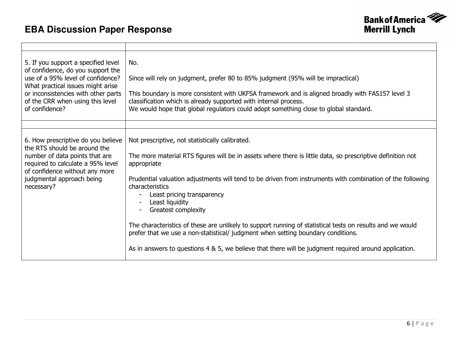

| 5. If you support a specified level<br>of confidence, do you support the<br>use of a 95% level of confidence?<br>What practical issues might arise<br>or inconsistencies with other parts<br>of the CRR when using this level<br>of confidence? | No.<br>Since will rely on judgment, prefer 80 to 85% judgment (95% will be impractical)<br>This boundary is more consistent with UKFSA framework and is aligned broadly with FAS157 level 3<br>classification which is already supported with internal process.<br>We would hope that global regulators could adopt something close to global standard.                                                                                                                                                                                                                                                                                                                                                                  |
|-------------------------------------------------------------------------------------------------------------------------------------------------------------------------------------------------------------------------------------------------|--------------------------------------------------------------------------------------------------------------------------------------------------------------------------------------------------------------------------------------------------------------------------------------------------------------------------------------------------------------------------------------------------------------------------------------------------------------------------------------------------------------------------------------------------------------------------------------------------------------------------------------------------------------------------------------------------------------------------|
|                                                                                                                                                                                                                                                 |                                                                                                                                                                                                                                                                                                                                                                                                                                                                                                                                                                                                                                                                                                                          |
| 6. How prescriptive do you believe<br>the RTS should be around the<br>number of data points that are<br>required to calculate a 95% level<br>of confidence without any more<br>judgmental approach being<br>necessary?                          | Not prescriptive, not statistically calibrated.<br>The more material RTS figures will be in assets where there is little data, so prescriptive definition not<br>appropriate<br>Prudential valuation adjustments will tend to be driven from instruments with combination of the following<br>characteristics<br>Least pricing transparency<br>Least liquidity<br><b>Greatest complexity</b><br>$\blacksquare$<br>The characteristics of these are unlikely to support running of statistical tests on results and we would<br>prefer that we use a non-statistical/ judgment when setting boundary conditions.<br>As in answers to questions 4 & 5, we believe that there will be judgment required around application. |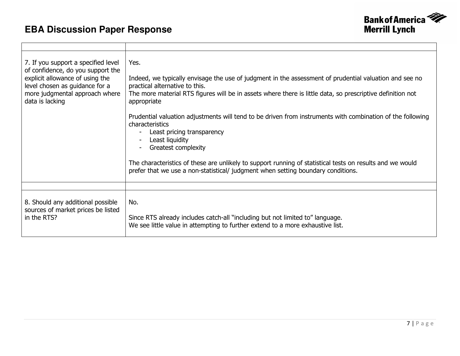

| 7. If you support a specified level<br>of confidence, do you support the<br>explicit allowance of using the<br>level chosen as guidance for a<br>more judgmental approach where<br>data is lacking | Yes.<br>Indeed, we typically envisage the use of judgment in the assessment of prudential valuation and see no<br>practical alternative to this.<br>The more material RTS figures will be in assets where there is little data, so prescriptive definition not<br>appropriate<br>Prudential valuation adjustments will tend to be driven from instruments with combination of the following<br>characteristics<br>Least pricing transparency<br>Least liquidity<br>Greatest complexity<br>The characteristics of these are unlikely to support running of statistical tests on results and we would<br>prefer that we use a non-statistical/ judgment when setting boundary conditions. |
|----------------------------------------------------------------------------------------------------------------------------------------------------------------------------------------------------|-----------------------------------------------------------------------------------------------------------------------------------------------------------------------------------------------------------------------------------------------------------------------------------------------------------------------------------------------------------------------------------------------------------------------------------------------------------------------------------------------------------------------------------------------------------------------------------------------------------------------------------------------------------------------------------------|
|                                                                                                                                                                                                    |                                                                                                                                                                                                                                                                                                                                                                                                                                                                                                                                                                                                                                                                                         |
| 8. Should any additional possible<br>sources of market prices be listed<br>in the RTS?                                                                                                             | No.<br>Since RTS already includes catch-all "including but not limited to" language.<br>We see little value in attempting to further extend to a more exhaustive list.                                                                                                                                                                                                                                                                                                                                                                                                                                                                                                                  |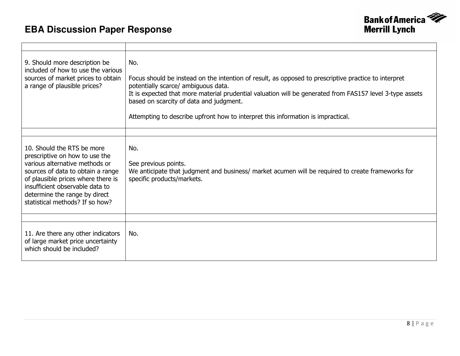

| 9. Should more description be<br>included of how to use the various<br>sources of market prices to obtain<br>a range of plausible prices?                                                                                                                                        | No.<br>Focus should be instead on the intention of result, as opposed to prescriptive practice to interpret<br>potentially scarce/ ambiguous data.<br>It is expected that more material prudential valuation will be generated from FAS157 level 3-type assets<br>based on scarcity of data and judgment.<br>Attempting to describe upfront how to interpret this information is impractical. |
|----------------------------------------------------------------------------------------------------------------------------------------------------------------------------------------------------------------------------------------------------------------------------------|-----------------------------------------------------------------------------------------------------------------------------------------------------------------------------------------------------------------------------------------------------------------------------------------------------------------------------------------------------------------------------------------------|
|                                                                                                                                                                                                                                                                                  |                                                                                                                                                                                                                                                                                                                                                                                               |
| 10. Should the RTS be more<br>prescriptive on how to use the<br>various alternative methods or<br>sources of data to obtain a range<br>of plausible prices where there is<br>insufficient observable data to<br>determine the range by direct<br>statistical methods? If so how? | No.<br>See previous points.<br>We anticipate that judgment and business/ market acumen will be required to create frameworks for<br>specific products/markets.                                                                                                                                                                                                                                |
|                                                                                                                                                                                                                                                                                  |                                                                                                                                                                                                                                                                                                                                                                                               |
| 11. Are there any other indicators<br>of large market price uncertainty<br>which should be included?                                                                                                                                                                             | No.                                                                                                                                                                                                                                                                                                                                                                                           |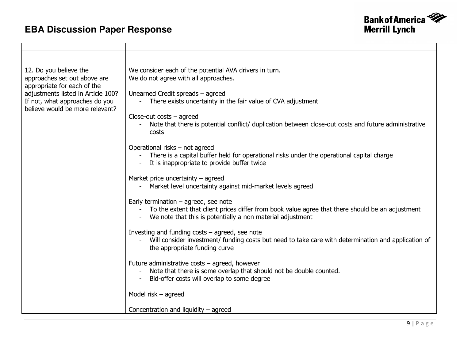$\blacksquare$ 



| 12. Do you believe the<br>approaches set out above are<br>appropriate for each of the<br>adjustments listed in Article 100?<br>If not, what approaches do you<br>believe would be more relevant? | We consider each of the potential AVA drivers in turn.<br>We do not agree with all approaches.<br>Unearned Credit spreads - agreed<br>There exists uncertainty in the fair value of CVA adjustment<br>$\blacksquare$<br>$Close-out costs - agreed$<br>Note that there is potential conflict/ duplication between close-out costs and future administrative<br>costs<br>Operational risks - not agreed<br>There is a capital buffer held for operational risks under the operational capital charge<br>$\blacksquare$ |
|--------------------------------------------------------------------------------------------------------------------------------------------------------------------------------------------------|----------------------------------------------------------------------------------------------------------------------------------------------------------------------------------------------------------------------------------------------------------------------------------------------------------------------------------------------------------------------------------------------------------------------------------------------------------------------------------------------------------------------|
|                                                                                                                                                                                                  | It is inappropriate to provide buffer twice                                                                                                                                                                                                                                                                                                                                                                                                                                                                          |
|                                                                                                                                                                                                  | Market price uncertainty $-$ agreed<br>Market level uncertainty against mid-market levels agreed                                                                                                                                                                                                                                                                                                                                                                                                                     |
|                                                                                                                                                                                                  | Early termination $-$ agreed, see note<br>To the extent that client prices differ from book value agree that there should be an adjustment<br>$\blacksquare$<br>We note that this is potentially a non material adjustment                                                                                                                                                                                                                                                                                           |
|                                                                                                                                                                                                  | Investing and funding $costs - agreed$ , see note<br>Will consider investment/ funding costs but need to take care with determination and application of<br>the appropriate funding curve                                                                                                                                                                                                                                                                                                                            |
|                                                                                                                                                                                                  | Future administrative costs - agreed, however<br>Note that there is some overlap that should not be double counted.<br>Bid-offer costs will overlap to some degree                                                                                                                                                                                                                                                                                                                                                   |
|                                                                                                                                                                                                  | Model risk $-$ agreed                                                                                                                                                                                                                                                                                                                                                                                                                                                                                                |
|                                                                                                                                                                                                  | Concentration and liquidity $-$ agreed                                                                                                                                                                                                                                                                                                                                                                                                                                                                               |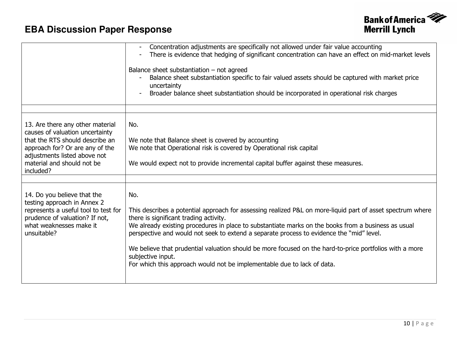

|                                                                                                                                                                                                                      | Concentration adjustments are specifically not allowed under fair value accounting<br>There is evidence that hedging of significant concentration can have an effect on mid-market levels<br>$\blacksquare$<br>Balance sheet substantiation $-$ not agreed<br>Balance sheet substantiation specific to fair valued assets should be captured with market price<br>uncertainty<br>Broader balance sheet substantiation should be incorporated in operational risk charges                                                                                                  |
|----------------------------------------------------------------------------------------------------------------------------------------------------------------------------------------------------------------------|---------------------------------------------------------------------------------------------------------------------------------------------------------------------------------------------------------------------------------------------------------------------------------------------------------------------------------------------------------------------------------------------------------------------------------------------------------------------------------------------------------------------------------------------------------------------------|
| 13. Are there any other material<br>causes of valuation uncertainty<br>that the RTS should describe an<br>approach for? Or are any of the<br>adjustments listed above not<br>material and should not be<br>included? | No.<br>We note that Balance sheet is covered by accounting<br>We note that Operational risk is covered by Operational risk capital<br>We would expect not to provide incremental capital buffer against these measures.                                                                                                                                                                                                                                                                                                                                                   |
| 14. Do you believe that the<br>testing approach in Annex 2<br>represents a useful tool to test for<br>prudence of valuation? If not,<br>what weaknesses make it<br>unsuitable?                                       | No.<br>This describes a potential approach for assessing realized P&L on more-liquid part of asset spectrum where<br>there is significant trading activity.<br>We already existing procedures in place to substantiate marks on the books from a business as usual<br>perspective and would not seek to extend a separate process to evidence the "mid" level.<br>We believe that prudential valuation should be more focused on the hard-to-price portfolios with a more<br>subjective input.<br>For which this approach would not be implementable due to lack of data. |
|                                                                                                                                                                                                                      | $10$   Page                                                                                                                                                                                                                                                                                                                                                                                                                                                                                                                                                               |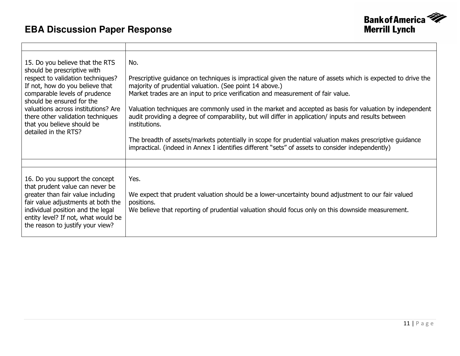

| 15. Do you believe that the RTS<br>should be prescriptive with<br>respect to validation techniques?<br>If not, how do you believe that<br>comparable levels of prudence<br>should be ensured for the<br>valuations across institutions? Are<br>there other validation techniques<br>that you believe should be<br>detailed in the RTS? | No.<br>Prescriptive guidance on techniques is impractical given the nature of assets which is expected to drive the<br>majority of prudential valuation. (See point 14 above.)<br>Market trades are an input to price verification and measurement of fair value.<br>Valuation techniques are commonly used in the market and accepted as basis for valuation by independent<br>audit providing a degree of comparability, but will differ in application/ inputs and results between<br>institutions.<br>The breadth of assets/markets potentially in scope for prudential valuation makes prescriptive guidance<br>impractical. (indeed in Annex I identifies different "sets" of assets to consider independently) |
|----------------------------------------------------------------------------------------------------------------------------------------------------------------------------------------------------------------------------------------------------------------------------------------------------------------------------------------|-----------------------------------------------------------------------------------------------------------------------------------------------------------------------------------------------------------------------------------------------------------------------------------------------------------------------------------------------------------------------------------------------------------------------------------------------------------------------------------------------------------------------------------------------------------------------------------------------------------------------------------------------------------------------------------------------------------------------|
|                                                                                                                                                                                                                                                                                                                                        |                                                                                                                                                                                                                                                                                                                                                                                                                                                                                                                                                                                                                                                                                                                       |
| 16. Do you support the concept<br>that prudent value can never be<br>greater than fair value including<br>fair value adjustments at both the<br>individual position and the legal<br>entity level? If not, what would be<br>the reason to justify your view?                                                                           | Yes.<br>We expect that prudent valuation should be a lower-uncertainty bound adjustment to our fair valued<br>positions.<br>We believe that reporting of prudential valuation should focus only on this downside measurement.                                                                                                                                                                                                                                                                                                                                                                                                                                                                                         |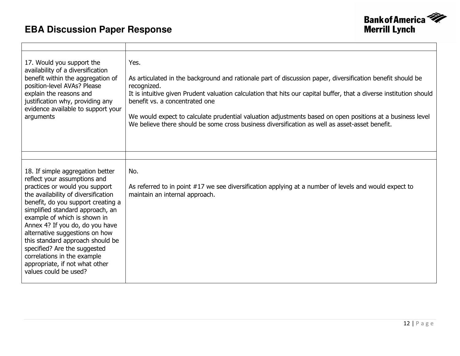

| 17. Would you support the<br>availability of a diversification<br>benefit within the aggregation of<br>position-level AVAs? Please<br>explain the reasons and<br>justification why, providing any<br>evidence available to support your<br>arguments                                                                                                                                                                                                                                   | Yes.<br>As articulated in the background and rationale part of discussion paper, diversification benefit should be<br>recognized.<br>It is intuitive given Prudent valuation calculation that hits our capital buffer, that a diverse institution should<br>benefit vs. a concentrated one<br>We would expect to calculate prudential valuation adjustments based on open positions at a business level<br>We believe there should be some cross business diversification as well as asset-asset benefit. |
|----------------------------------------------------------------------------------------------------------------------------------------------------------------------------------------------------------------------------------------------------------------------------------------------------------------------------------------------------------------------------------------------------------------------------------------------------------------------------------------|-----------------------------------------------------------------------------------------------------------------------------------------------------------------------------------------------------------------------------------------------------------------------------------------------------------------------------------------------------------------------------------------------------------------------------------------------------------------------------------------------------------|
|                                                                                                                                                                                                                                                                                                                                                                                                                                                                                        |                                                                                                                                                                                                                                                                                                                                                                                                                                                                                                           |
| 18. If simple aggregation better<br>reflect your assumptions and<br>practices or would you support<br>the availability of diversification<br>benefit, do you support creating a<br>simplified standard approach, an<br>example of which is shown in<br>Annex 4? If you do, do you have<br>alternative suggestions on how<br>this standard approach should be<br>specified? Are the suggested<br>correlations in the example<br>appropriate, if not what other<br>values could be used? | No.<br>As referred to in point #17 we see diversification applying at a number of levels and would expect to<br>maintain an internal approach.                                                                                                                                                                                                                                                                                                                                                            |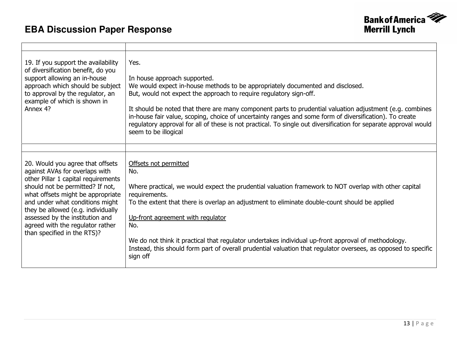

| 19. If you support the availability<br>of diversification benefit, do you<br>support allowing an in-house<br>approach which should be subject<br>to approval by the regulator, an<br>example of which is shown in<br>Annex 4?                                                                                                                                     | Yes.<br>In house approach supported.<br>We would expect in-house methods to be appropriately documented and disclosed.<br>But, would not expect the approach to require regulatory sign-off.<br>It should be noted that there are many component parts to prudential valuation adjustment (e.g. combines<br>in-house fair value, scoping, choice of uncertainty ranges and some form of diversification). To create<br>regulatory approval for all of these is not practical. To single out diversification for separate approval would<br>seem to be illogical |
|-------------------------------------------------------------------------------------------------------------------------------------------------------------------------------------------------------------------------------------------------------------------------------------------------------------------------------------------------------------------|-----------------------------------------------------------------------------------------------------------------------------------------------------------------------------------------------------------------------------------------------------------------------------------------------------------------------------------------------------------------------------------------------------------------------------------------------------------------------------------------------------------------------------------------------------------------|
|                                                                                                                                                                                                                                                                                                                                                                   |                                                                                                                                                                                                                                                                                                                                                                                                                                                                                                                                                                 |
| 20. Would you agree that offsets<br>against AVAs for overlaps with<br>other Pillar 1 capital requirements<br>should not be permitted? If not,<br>what offsets might be appropriate<br>and under what conditions might<br>they be allowed (e.g. individually<br>assessed by the institution and<br>agreed with the regulator rather<br>than specified in the RTS)? | Offsets not permitted<br>No.<br>Where practical, we would expect the prudential valuation framework to NOT overlap with other capital<br>requirements.<br>To the extent that there is overlap an adjustment to eliminate double-count should be applied<br>Up-front agreement with regulator<br>No.<br>We do not think it practical that regulator undertakes individual up-front approval of methodology.<br>Instead, this should form part of overall prudential valuation that regulator oversees, as opposed to specific<br>sign off                        |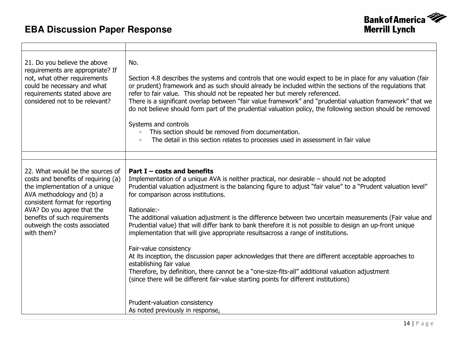

| 21. Do you believe the above<br>requirements are appropriate? If<br>not, what other requirements<br>could be necessary and what<br>requirements stated above are<br>considered not to be relevant?                                                                                      | No.<br>Section 4.8 describes the systems and controls that one would expect to be in place for any valuation (fair<br>or prudent) framework and as such should already be included within the sections of the regulations that<br>refer to fair value. This should not be repeated her but merely referenced.<br>There is a significant overlap between "fair value framework" and "prudential valuation framework" that we<br>do not believe should form part of the prudential valuation policy, the following section should be removed<br>Systems and controls<br>This section should be removed from documentation.<br>The detail in this section relates to processes used in assessment in fair value |
|-----------------------------------------------------------------------------------------------------------------------------------------------------------------------------------------------------------------------------------------------------------------------------------------|--------------------------------------------------------------------------------------------------------------------------------------------------------------------------------------------------------------------------------------------------------------------------------------------------------------------------------------------------------------------------------------------------------------------------------------------------------------------------------------------------------------------------------------------------------------------------------------------------------------------------------------------------------------------------------------------------------------|
|                                                                                                                                                                                                                                                                                         |                                                                                                                                                                                                                                                                                                                                                                                                                                                                                                                                                                                                                                                                                                              |
| 22. What would be the sources of<br>costs and benefits of requiring (a)<br>the implementation of a unique<br>AVA methodology and (b) a<br>consistent format for reporting<br>AVA? Do you agree that the<br>benefits of such requirements<br>outweigh the costs associated<br>with them? | Part $I$ – costs and benefits<br>Implementation of a unique AVA is neither practical, nor desirable - should not be adopted<br>Prudential valuation adjustment is the balancing figure to adjust "fair value" to a "Prudent valuation level"<br>for comparison across institutions.<br>Rationale:-<br>The additional valuation adjustment is the difference between two uncertain measurements (Fair value and<br>Prudential value) that will differ bank to bank therefore it is not possible to design an up-front unique<br>implementation that will give appropriate resultsacross a range of institutions.                                                                                              |
|                                                                                                                                                                                                                                                                                         | Fair-value consistency<br>At its inception, the discussion paper acknowledges that there are different acceptable approaches to<br>establishing fair value<br>Therefore, by definition, there cannot be a "one-size-fits-all" additional valuation adjustment<br>(since there will be different fair-value starting points for different institutions)                                                                                                                                                                                                                                                                                                                                                       |
|                                                                                                                                                                                                                                                                                         | Prudent-valuation consistency<br>As noted previously in response,                                                                                                                                                                                                                                                                                                                                                                                                                                                                                                                                                                                                                                            |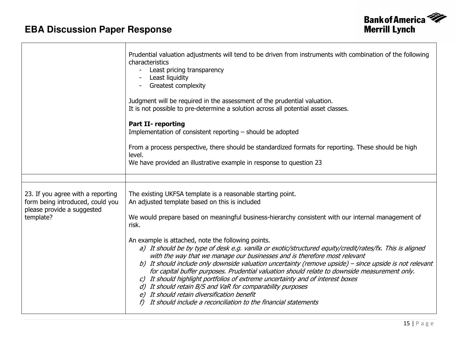

|                                                                                                                  | Prudential valuation adjustments will tend to be driven from instruments with combination of the following<br>characteristics<br>Least pricing transparency<br>Least liquidity<br>Greatest complexity<br>Judgment will be required in the assessment of the prudential valuation.<br>It is not possible to pre-determine a solution across all potential asset classes.<br><b>Part II- reporting</b><br>Implementation of consistent reporting - should be adopted<br>From a process perspective, there should be standardized formats for reporting. These should be high<br>level.<br>We have provided an illustrative example in response to question 23                                                                                                                                                                                                                                                                                               |
|------------------------------------------------------------------------------------------------------------------|-----------------------------------------------------------------------------------------------------------------------------------------------------------------------------------------------------------------------------------------------------------------------------------------------------------------------------------------------------------------------------------------------------------------------------------------------------------------------------------------------------------------------------------------------------------------------------------------------------------------------------------------------------------------------------------------------------------------------------------------------------------------------------------------------------------------------------------------------------------------------------------------------------------------------------------------------------------|
| 23. If you agree with a reporting<br>form being introduced, could you<br>please provide a suggested<br>template? | The existing UKFSA template is a reasonable starting point.<br>An adjusted template based on this is included<br>We would prepare based on meaningful business-hierarchy consistent with our internal management of<br>risk.<br>An example is attached, note the following points.<br>a) It should be by type of desk e.g. vanilla or exotic/structured equity/credit/rates/fx. This is aligned<br>with the way that we manage our businesses and is therefore most relevant<br>b) It should include only downside valuation uncertainty (remove upside) – since upside is not relevant<br>for capital buffer purposes. Prudential valuation should relate to downside measurement only.<br>c) It should highlight portfolios of extreme uncertainty and of interest boxes<br>d) It should retain B/S and VaR for comparability purposes<br>e) It should retain diversification benefit<br>It should include a reconciliation to the financial statements |